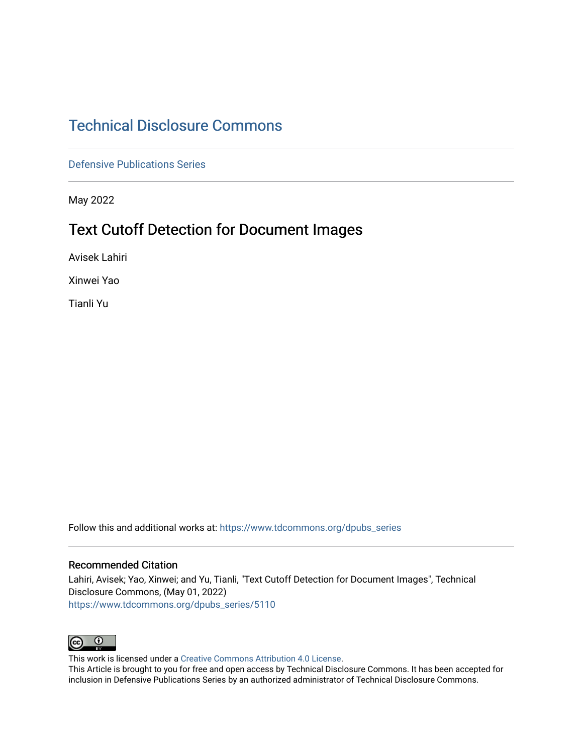## [Technical Disclosure Commons](https://www.tdcommons.org/)

[Defensive Publications Series](https://www.tdcommons.org/dpubs_series)

May 2022

# Text Cutoff Detection for Document Images

Avisek Lahiri

Xinwei Yao

Tianli Yu

Follow this and additional works at: [https://www.tdcommons.org/dpubs\\_series](https://www.tdcommons.org/dpubs_series?utm_source=www.tdcommons.org%2Fdpubs_series%2F5110&utm_medium=PDF&utm_campaign=PDFCoverPages) 

#### Recommended Citation

Lahiri, Avisek; Yao, Xinwei; and Yu, Tianli, "Text Cutoff Detection for Document Images", Technical Disclosure Commons, (May 01, 2022) [https://www.tdcommons.org/dpubs\\_series/5110](https://www.tdcommons.org/dpubs_series/5110?utm_source=www.tdcommons.org%2Fdpubs_series%2F5110&utm_medium=PDF&utm_campaign=PDFCoverPages)



This work is licensed under a [Creative Commons Attribution 4.0 License](http://creativecommons.org/licenses/by/4.0/deed.en_US).

This Article is brought to you for free and open access by Technical Disclosure Commons. It has been accepted for inclusion in Defensive Publications Series by an authorized administrator of Technical Disclosure Commons.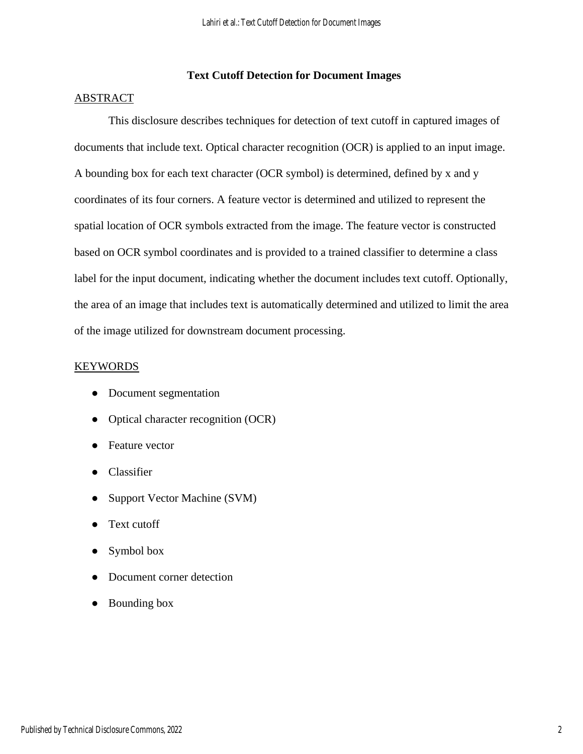## **Text Cutoff Detection for Document Images**

### ABSTRACT

This disclosure describes techniques for detection of text cutoff in captured images of documents that include text. Optical character recognition (OCR) is applied to an input image. A bounding box for each text character (OCR symbol) is determined, defined by x and y coordinates of its four corners. A feature vector is determined and utilized to represent the spatial location of OCR symbols extracted from the image. The feature vector is constructed based on OCR symbol coordinates and is provided to a trained classifier to determine a class label for the input document, indicating whether the document includes text cutoff. Optionally, the area of an image that includes text is automatically determined and utilized to limit the area of the image utilized for downstream document processing.

### KEYWORDS

- Document segmentation
- Optical character recognition (OCR)
- Feature vector
- Classifier
- Support Vector Machine (SVM)
- Text cutoff
- Symbol box
- Document corner detection
- Bounding box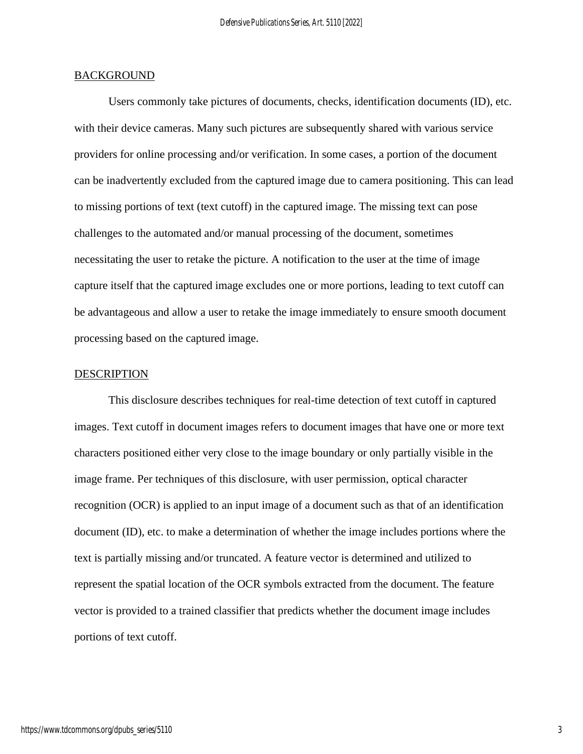#### **BACKGROUND**

Users commonly take pictures of documents, checks, identification documents (ID), etc. with their device cameras. Many such pictures are subsequently shared with various service providers for online processing and/or verification. In some cases, a portion of the document can be inadvertently excluded from the captured image due to camera positioning. This can lead to missing portions of text (text cutoff) in the captured image. The missing text can pose challenges to the automated and/or manual processing of the document, sometimes necessitating the user to retake the picture. A notification to the user at the time of image capture itself that the captured image excludes one or more portions, leading to text cutoff can be advantageous and allow a user to retake the image immediately to ensure smooth document processing based on the captured image.

#### **DESCRIPTION**

This disclosure describes techniques for real-time detection of text cutoff in captured images. Text cutoff in document images refers to document images that have one or more text characters positioned either very close to the image boundary or only partially visible in the image frame. Per techniques of this disclosure, with user permission, optical character recognition (OCR) is applied to an input image of a document such as that of an identification document (ID), etc. to make a determination of whether the image includes portions where the text is partially missing and/or truncated. A feature vector is determined and utilized to represent the spatial location of the OCR symbols extracted from the document. The feature vector is provided to a trained classifier that predicts whether the document image includes portions of text cutoff.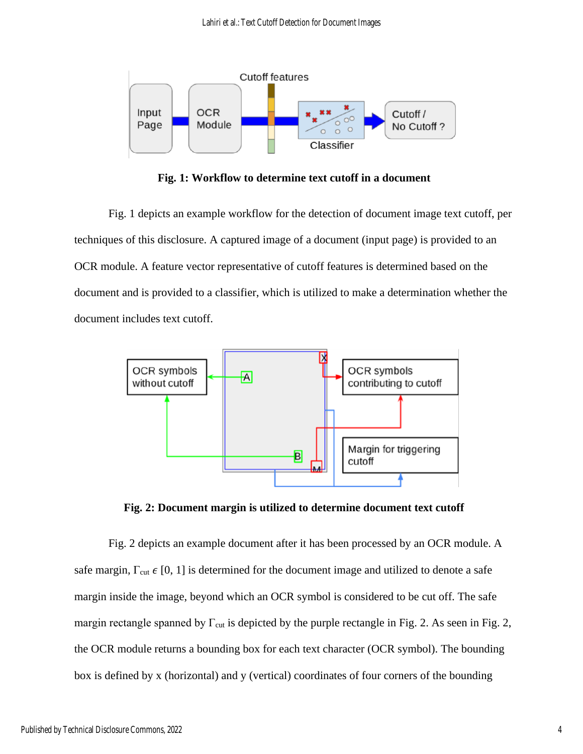

**Fig. 1: Workflow to determine text cutoff in a document**

Fig. 1 depicts an example workflow for the detection of document image text cutoff, per techniques of this disclosure. A captured image of a document (input page) is provided to an OCR module. A feature vector representative of cutoff features is determined based on the document and is provided to a classifier, which is utilized to make a determination whether the document includes text cutoff.



**Fig. 2: Document margin is utilized to determine document text cutoff**

Fig. 2 depicts an example document after it has been processed by an OCR module. A safe margin,  $\Gamma_{\text{cut}} \in [0, 1]$  is determined for the document image and utilized to denote a safe margin inside the image, beyond which an OCR symbol is considered to be cut off. The safe margin rectangle spanned by  $\Gamma_{\text{cut}}$  is depicted by the purple rectangle in Fig. 2. As seen in Fig. 2, the OCR module returns a bounding box for each text character (OCR symbol). The bounding box is defined by x (horizontal) and y (vertical) coordinates of four corners of the bounding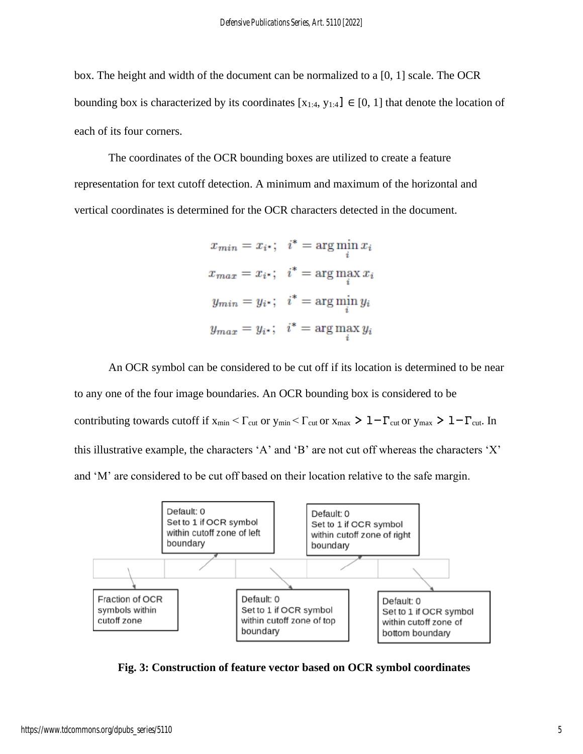box. The height and width of the document can be normalized to a [0, 1] scale. The OCR bounding box is characterized by its coordinates  $[x_{1:4}, y_{1:4}] \in [0, 1]$  that denote the location of each of its four corners.

The coordinates of the OCR bounding boxes are utilized to create a feature representation for text cutoff detection. A minimum and maximum of the horizontal and vertical coordinates is determined for the OCR characters detected in the document.

> $x_{min} = x_{i^*}; \quad i^* = \arg\min x_i$  $x_{max} = x_{i^*}; i^* = \arg\max_i x_i$  $y_{min} = y_{i^*}; \quad i^* = \arg\min_i y_i$  $y_{max} = y_{i*};$   $i^* = \arg \max_i y_i$

An OCR symbol can be considered to be cut off if its location is determined to be near to any one of the four image boundaries. An OCR bounding box is considered to be contributing towards cutoff if  $x_{min} < \Gamma_{cut}$  or  $y_{min} < \Gamma_{cut}$  or  $x_{max} > 1 - \Gamma_{cut}$  or  $y_{max} > 1 - \Gamma_{cut}$ . In this illustrative example, the characters 'A' and 'B' are not cut off whereas the characters 'X' and 'M' are considered to be cut off based on their location relative to the safe margin.



**Fig. 3: Construction of feature vector based on OCR symbol coordinates**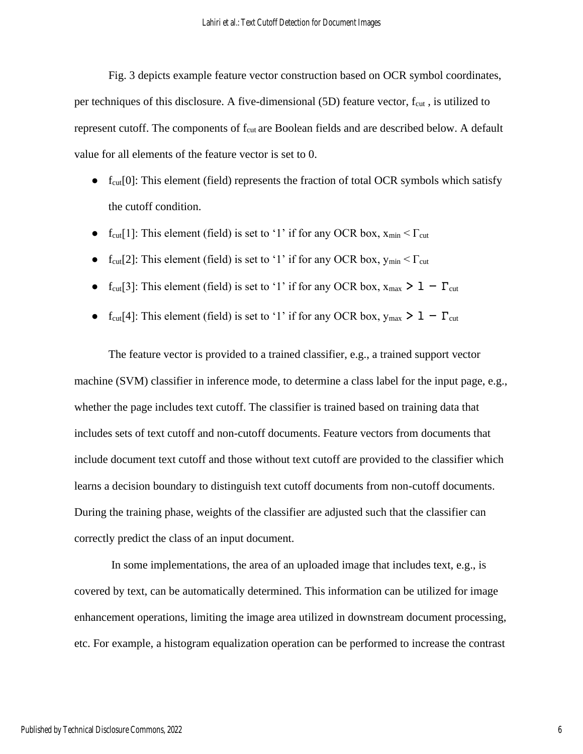Fig. 3 depicts example feature vector construction based on OCR symbol coordinates, per techniques of this disclosure. A five-dimensional (5D) feature vector, f<sub>cut</sub>, is utilized to represent cutoff. The components of  $f_{\text{cut}}$  are Boolean fields and are described below. A default value for all elements of the feature vector is set to 0.

- $\bullet$  f<sub>cut</sub>[0]: This element (field) represents the fraction of total OCR symbols which satisfy the cutoff condition.
- $f_{\text{cut}}[1]$ : This element (field) is set to '1' if for any OCR box,  $x_{\text{min}} < \Gamma_{\text{cut}}$
- f<sub>cut</sub>[2]: This element (field) is set to '1' if for any OCR box,  $y_{min} < \Gamma_{cut}$
- f<sub>cut</sub>[3]: This element (field) is set to '1' if for any OCR box,  $x_{max} > 1 \Gamma_{cut}$
- f<sub>cut</sub>[4]: This element (field) is set to '1' if for any OCR box,  $y_{max} > 1 \Gamma_{cut}$

The feature vector is provided to a trained classifier, e.g., a trained support vector machine (SVM) classifier in inference mode, to determine a class label for the input page, e.g., whether the page includes text cutoff. The classifier is trained based on training data that includes sets of text cutoff and non-cutoff documents. Feature vectors from documents that include document text cutoff and those without text cutoff are provided to the classifier which learns a decision boundary to distinguish text cutoff documents from non-cutoff documents. During the training phase, weights of the classifier are adjusted such that the classifier can correctly predict the class of an input document.

In some implementations, the area of an uploaded image that includes text, e.g., is covered by text, can be automatically determined. This information can be utilized for image enhancement operations, limiting the image area utilized in downstream document processing, etc. For example, a histogram equalization operation can be performed to increase the contrast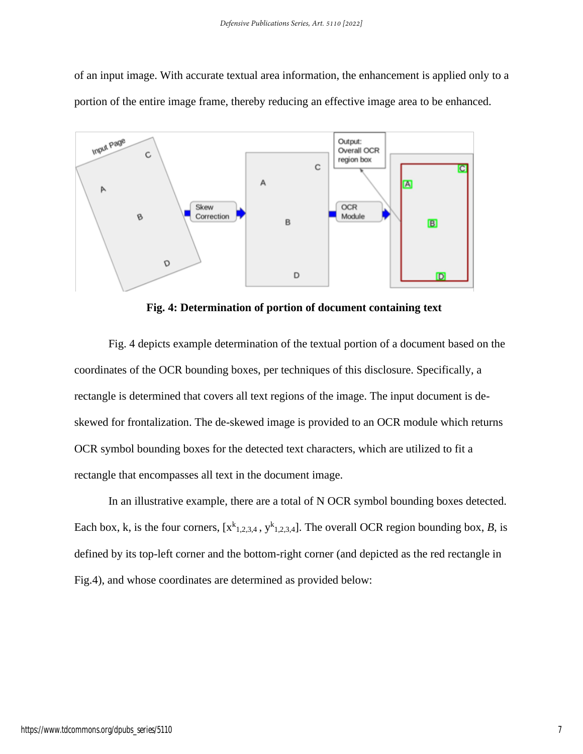of an input image. With accurate textual area information, the enhancement is applied only to a portion of the entire image frame, thereby reducing an effective image area to be enhanced.



**Fig. 4: Determination of portion of document containing text**

Fig. 4 depicts example determination of the textual portion of a document based on the coordinates of the OCR bounding boxes, per techniques of this disclosure. Specifically, a rectangle is determined that covers all text regions of the image. The input document is deskewed for frontalization. The de-skewed image is provided to an OCR module which returns OCR symbol bounding boxes for the detected text characters, which are utilized to fit a rectangle that encompasses all text in the document image.

In an illustrative example, there are a total of N OCR symbol bounding boxes detected. Each box, k, is the four corners,  $[x^{k}{}_{1,2,3,4}, y^{k}{}_{1,2,3,4}]$ . The overall OCR region bounding box, *B*, is defined by its top-left corner and the bottom-right corner (and depicted as the red rectangle in Fig.4), and whose coordinates are determined as provided below: